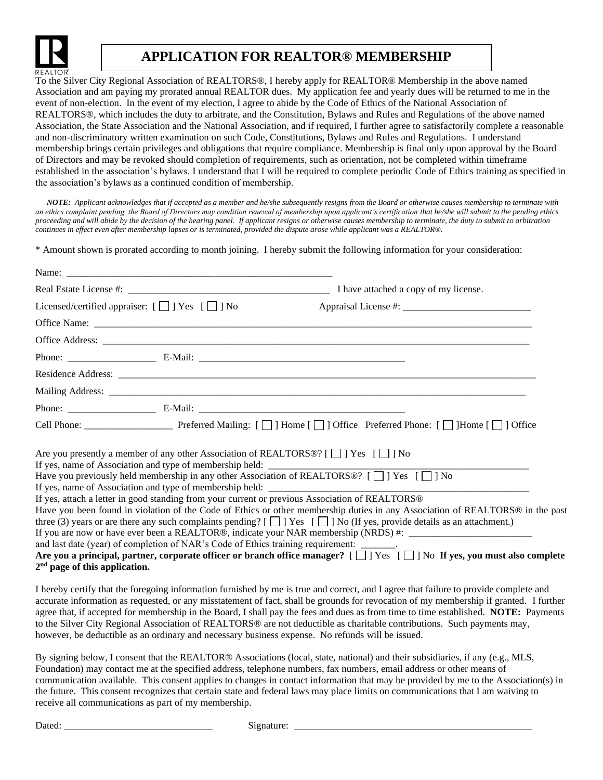

## **APPLICATION FOR REALTOR® MEMBERSHIP**

To the Silver City Regional Association of REALTORS®, I hereby apply for REALTOR® Membership in the above named Association and am paying my prorated annual REALTOR dues. My application fee and yearly dues will be returned to me in the event of non-election. In the event of my election, I agree to abide by the Code of Ethics of the National Association of REALTORS®, which includes the duty to arbitrate, and the Constitution, Bylaws and Rules and Regulations of the above named Association, the State Association and the National Association, and if required, I further agree to satisfactorily complete a reasonable and non-discriminatory written examination on such Code, Constitutions, Bylaws and Rules and Regulations. I understand membership brings certain privileges and obligations that require compliance. Membership is final only upon approval by the Board of Directors and may be revoked should completion of requirements, such as orientation, not be completed within timeframe established in the association's bylaws. I understand that I will be required to complete periodic Code of Ethics training as specified in the association's bylaws as a continued condition of membership.

 *NOTE: Applicant acknowledges that if accepted as a member and he/she subsequently resigns from the Board or otherwise causes membership to terminate with*  an ethics complaint pending, the Board of Directors may condition renewal of membership upon applicant's certification that he/she will submit to the pending ethics *proceeding and will abide by the decision of the hearing panel. If applicant resigns or otherwise causes membership to terminate, the duty to submit to arbitration continues in effect even after membership lapses or is terminated, provided the dispute arose while applicant was a REALTOR®.* 

\* Amount shown is prorated according to month joining. I hereby submit the following information for your consideration:

| Licensed/certified appraiser: $[\Box]$ Yes $[\Box]$ No                                                                                                                                                                                                                                                                                                                                                                                                                                                                                                                                                                                                              |                                                                                                                                                                                                                                                                    |
|---------------------------------------------------------------------------------------------------------------------------------------------------------------------------------------------------------------------------------------------------------------------------------------------------------------------------------------------------------------------------------------------------------------------------------------------------------------------------------------------------------------------------------------------------------------------------------------------------------------------------------------------------------------------|--------------------------------------------------------------------------------------------------------------------------------------------------------------------------------------------------------------------------------------------------------------------|
|                                                                                                                                                                                                                                                                                                                                                                                                                                                                                                                                                                                                                                                                     |                                                                                                                                                                                                                                                                    |
|                                                                                                                                                                                                                                                                                                                                                                                                                                                                                                                                                                                                                                                                     |                                                                                                                                                                                                                                                                    |
|                                                                                                                                                                                                                                                                                                                                                                                                                                                                                                                                                                                                                                                                     |                                                                                                                                                                                                                                                                    |
|                                                                                                                                                                                                                                                                                                                                                                                                                                                                                                                                                                                                                                                                     |                                                                                                                                                                                                                                                                    |
|                                                                                                                                                                                                                                                                                                                                                                                                                                                                                                                                                                                                                                                                     |                                                                                                                                                                                                                                                                    |
|                                                                                                                                                                                                                                                                                                                                                                                                                                                                                                                                                                                                                                                                     |                                                                                                                                                                                                                                                                    |
|                                                                                                                                                                                                                                                                                                                                                                                                                                                                                                                                                                                                                                                                     |                                                                                                                                                                                                                                                                    |
| Are you presently a member of any other Association of REALTORS®? [ $\Box$ ] Yes [ $\Box$ ] No<br>If yes, name of Association and type of membership held: ________________________<br>Have you previously held membership in any other Association of REALTORS®? $[\Box]$ Yes $[\Box]$ No<br>If yes, attach a letter in good standing from your current or previous Association of REALTORS®<br>three (3) years or are there any such complaints pending? [ $\Box$ ] Yes [ $\Box$ ] No (If yes, provide details as an attachment.)<br>and last date (year) of completion of NAR's Code of Ethics training requirement: _______.<br>$2nd$ page of this application. | Have you been found in violation of the Code of Ethics or other membership duties in any Association of REALTORS® in the past<br>Are you a principal, partner, corporate officer or branch office manager? $[\Box]$ Yes $[\Box]$ No If yes, you must also complete |

I hereby certify that the foregoing information furnished by me is true and correct, and I agree that failure to provide complete and accurate information as requested, or any misstatement of fact, shall be grounds for revocation of my membership if granted. I further agree that, if accepted for membership in the Board, I shall pay the fees and dues as from time to time established. **NOTE:** Payments to the Silver City Regional Association of REALTORS® are not deductible as charitable contributions. Such payments may, however, be deductible as an ordinary and necessary business expense. No refunds will be issued.

By signing below, I consent that the REALTOR® Associations (local, state, national) and their subsidiaries, if any (e.g., MLS, Foundation) may contact me at the specified address, telephone numbers, fax numbers, email address or other means of communication available. This consent applies to changes in contact information that may be provided by me to the Association(s) in the future. This consent recognizes that certain state and federal laws may place limits on communications that I am waiving to receive all communications as part of my membership.

Dated: Signature: